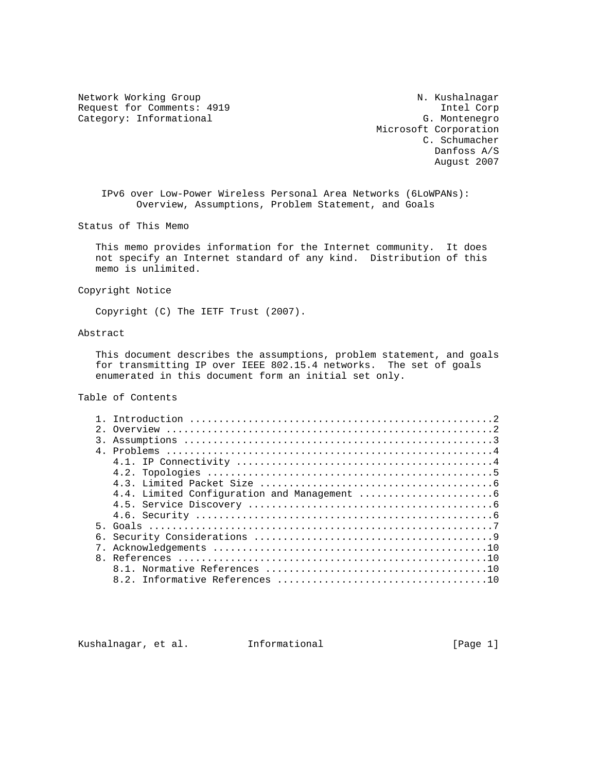Network Working Group Network Working Group N. Kushalnagar Request for Comments: 4919 Intel Corp<br>
Category: Informational G. Montenegro Category: Informational

 Microsoft Corporation C. Schumacher Danfoss A/S August 2007

 IPv6 over Low-Power Wireless Personal Area Networks (6LoWPANs): Overview, Assumptions, Problem Statement, and Goals

Status of This Memo

 This memo provides information for the Internet community. It does not specify an Internet standard of any kind. Distribution of this memo is unlimited.

Copyright Notice

Copyright (C) The IETF Trust (2007).

# Abstract

 This document describes the assumptions, problem statement, and goals for transmitting IP over IEEE 802.15.4 networks. The set of goals enumerated in this document form an initial set only.

# Table of Contents

| $2^{\circ}$   |  |
|---------------|--|
| $\mathcal{R}$ |  |
|               |  |
|               |  |
|               |  |
|               |  |
|               |  |
|               |  |
|               |  |
|               |  |
|               |  |
|               |  |
|               |  |
|               |  |
|               |  |
|               |  |

Kushalnagar, et al. Informational [Page 1]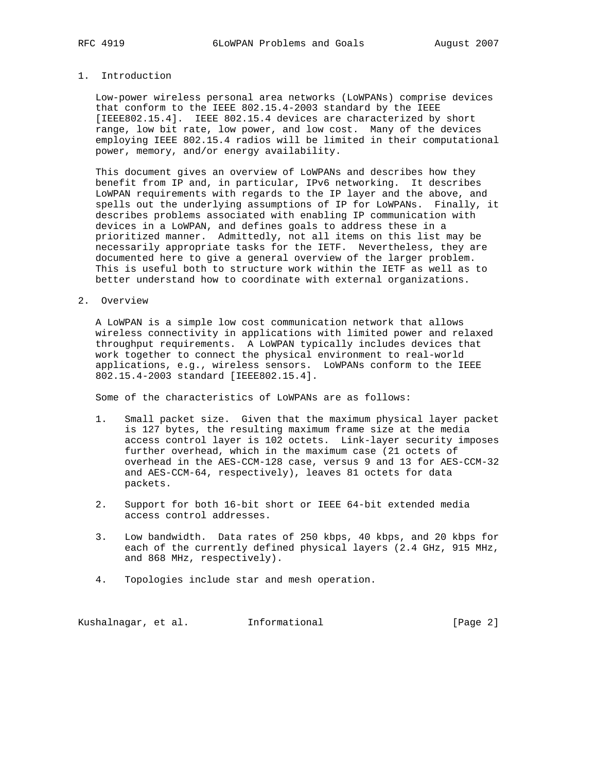#### 1. Introduction

 Low-power wireless personal area networks (LoWPANs) comprise devices that conform to the IEEE 802.15.4-2003 standard by the IEEE [IEEE802.15.4]. IEEE 802.15.4 devices are characterized by short range, low bit rate, low power, and low cost. Many of the devices employing IEEE 802.15.4 radios will be limited in their computational power, memory, and/or energy availability.

 This document gives an overview of LoWPANs and describes how they benefit from IP and, in particular, IPv6 networking. It describes LoWPAN requirements with regards to the IP layer and the above, and spells out the underlying assumptions of IP for LoWPANs. Finally, it describes problems associated with enabling IP communication with devices in a LoWPAN, and defines goals to address these in a prioritized manner. Admittedly, not all items on this list may be necessarily appropriate tasks for the IETF. Nevertheless, they are documented here to give a general overview of the larger problem. This is useful both to structure work within the IETF as well as to better understand how to coordinate with external organizations.

#### 2. Overview

 A LoWPAN is a simple low cost communication network that allows wireless connectivity in applications with limited power and relaxed throughput requirements. A LoWPAN typically includes devices that work together to connect the physical environment to real-world applications, e.g., wireless sensors. LoWPANs conform to the IEEE 802.15.4-2003 standard [IEEE802.15.4].

Some of the characteristics of LoWPANs are as follows:

- 1. Small packet size. Given that the maximum physical layer packet is 127 bytes, the resulting maximum frame size at the media access control layer is 102 octets. Link-layer security imposes further overhead, which in the maximum case (21 octets of overhead in the AES-CCM-128 case, versus 9 and 13 for AES-CCM-32 and AES-CCM-64, respectively), leaves 81 octets for data packets.
- 2. Support for both 16-bit short or IEEE 64-bit extended media access control addresses.
- 3. Low bandwidth. Data rates of 250 kbps, 40 kbps, and 20 kbps for each of the currently defined physical layers (2.4 GHz, 915 MHz, and 868 MHz, respectively).
- 4. Topologies include star and mesh operation.

Kushalnagar, et al. Informational [Page 2]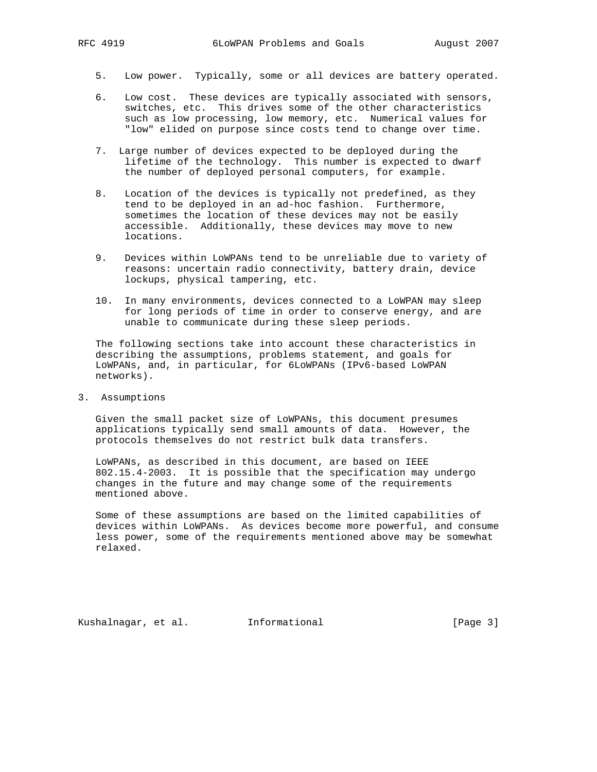- 5. Low power. Typically, some or all devices are battery operated.
- 6. Low cost. These devices are typically associated with sensors, switches, etc. This drives some of the other characteristics such as low processing, low memory, etc. Numerical values for "low" elided on purpose since costs tend to change over time.
- 7. Large number of devices expected to be deployed during the lifetime of the technology. This number is expected to dwarf the number of deployed personal computers, for example.
- 8. Location of the devices is typically not predefined, as they tend to be deployed in an ad-hoc fashion. Furthermore, sometimes the location of these devices may not be easily accessible. Additionally, these devices may move to new locations.
- 9. Devices within LoWPANs tend to be unreliable due to variety of reasons: uncertain radio connectivity, battery drain, device lockups, physical tampering, etc.
- 10. In many environments, devices connected to a LoWPAN may sleep for long periods of time in order to conserve energy, and are unable to communicate during these sleep periods.

 The following sections take into account these characteristics in describing the assumptions, problems statement, and goals for LoWPANs, and, in particular, for 6LoWPANs (IPv6-based LoWPAN networks).

3. Assumptions

 Given the small packet size of LoWPANs, this document presumes applications typically send small amounts of data. However, the protocols themselves do not restrict bulk data transfers.

 LoWPANs, as described in this document, are based on IEEE 802.15.4-2003. It is possible that the specification may undergo changes in the future and may change some of the requirements mentioned above.

 Some of these assumptions are based on the limited capabilities of devices within LoWPANs. As devices become more powerful, and consume less power, some of the requirements mentioned above may be somewhat relaxed.

Kushalnagar, et al. Informational [Page 3]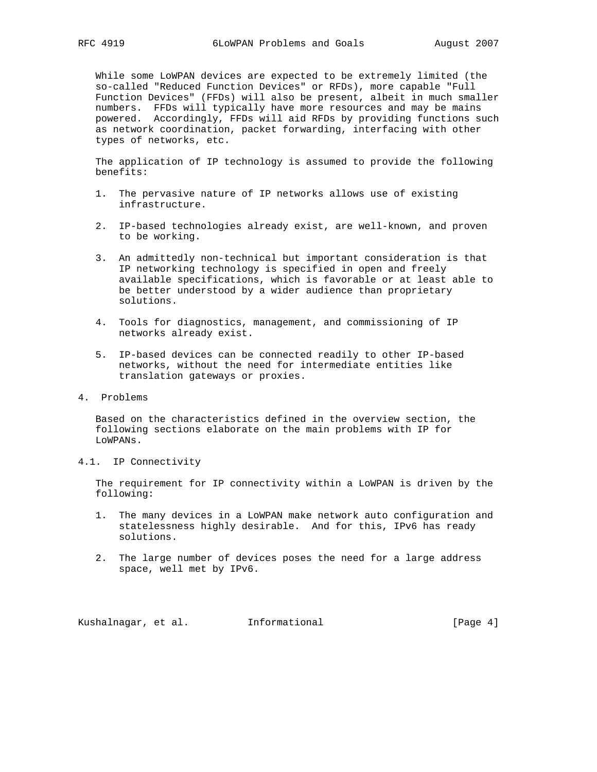While some LoWPAN devices are expected to be extremely limited (the so-called "Reduced Function Devices" or RFDs), more capable "Full Function Devices" (FFDs) will also be present, albeit in much smaller numbers. FFDs will typically have more resources and may be mains powered. Accordingly, FFDs will aid RFDs by providing functions such as network coordination, packet forwarding, interfacing with other types of networks, etc.

 The application of IP technology is assumed to provide the following benefits:

- 1. The pervasive nature of IP networks allows use of existing infrastructure.
- 2. IP-based technologies already exist, are well-known, and proven to be working.
- 3. An admittedly non-technical but important consideration is that IP networking technology is specified in open and freely available specifications, which is favorable or at least able to be better understood by a wider audience than proprietary solutions.
- 4. Tools for diagnostics, management, and commissioning of IP networks already exist.
- 5. IP-based devices can be connected readily to other IP-based networks, without the need for intermediate entities like translation gateways or proxies.
- 4. Problems

 Based on the characteristics defined in the overview section, the following sections elaborate on the main problems with IP for LoWPANs.

4.1. IP Connectivity

 The requirement for IP connectivity within a LoWPAN is driven by the following:

- 1. The many devices in a LoWPAN make network auto configuration and statelessness highly desirable. And for this, IPv6 has ready solutions.
- 2. The large number of devices poses the need for a large address space, well met by IPv6.

Kushalnagar, et al. Informational [Page 4]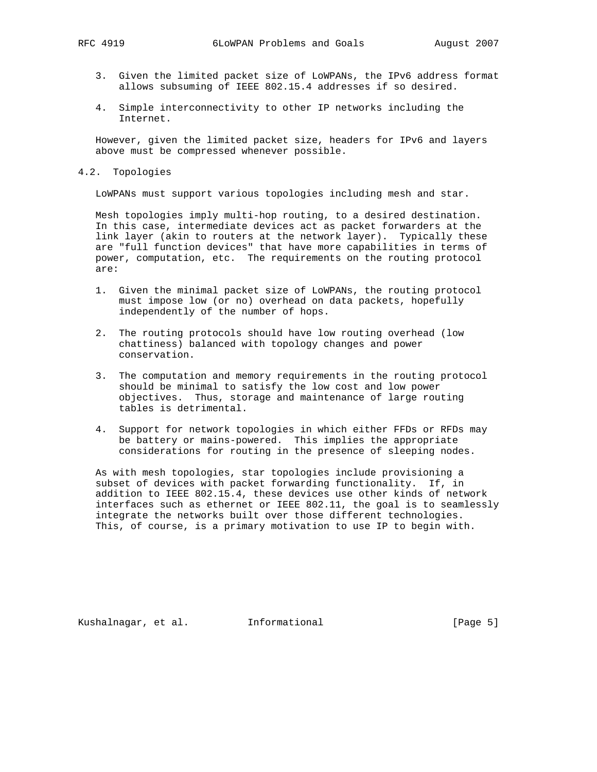- 3. Given the limited packet size of LoWPANs, the IPv6 address format allows subsuming of IEEE 802.15.4 addresses if so desired.
- 4. Simple interconnectivity to other IP networks including the Internet.

 However, given the limited packet size, headers for IPv6 and layers above must be compressed whenever possible.

4.2. Topologies

LoWPANs must support various topologies including mesh and star.

 Mesh topologies imply multi-hop routing, to a desired destination. In this case, intermediate devices act as packet forwarders at the link layer (akin to routers at the network layer). Typically these are "full function devices" that have more capabilities in terms of power, computation, etc. The requirements on the routing protocol are:

- 1. Given the minimal packet size of LoWPANs, the routing protocol must impose low (or no) overhead on data packets, hopefully independently of the number of hops.
- 2. The routing protocols should have low routing overhead (low chattiness) balanced with topology changes and power conservation.
- 3. The computation and memory requirements in the routing protocol should be minimal to satisfy the low cost and low power objectives. Thus, storage and maintenance of large routing tables is detrimental.
- 4. Support for network topologies in which either FFDs or RFDs may be battery or mains-powered. This implies the appropriate considerations for routing in the presence of sleeping nodes.

 As with mesh topologies, star topologies include provisioning a subset of devices with packet forwarding functionality. If, in addition to IEEE 802.15.4, these devices use other kinds of network interfaces such as ethernet or IEEE 802.11, the goal is to seamlessly integrate the networks built over those different technologies. This, of course, is a primary motivation to use IP to begin with.

Kushalnagar, et al. Informational [Page 5]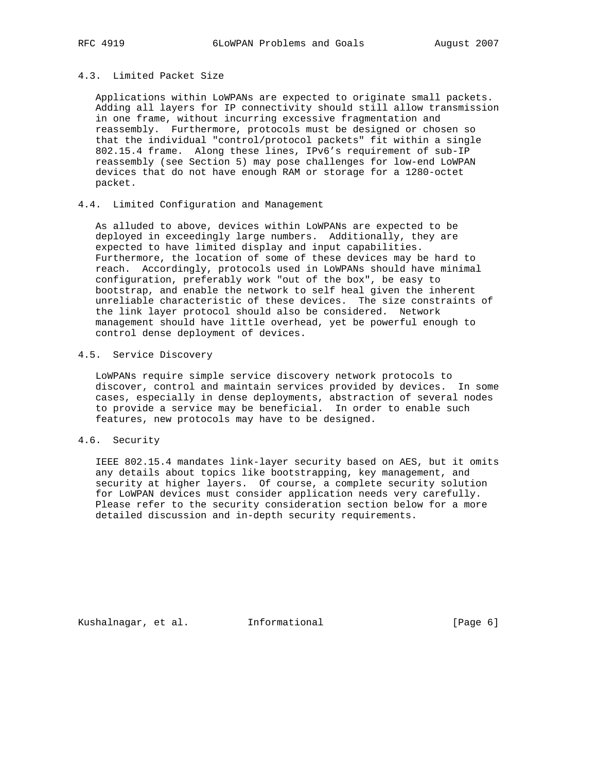## 4.3. Limited Packet Size

 Applications within LoWPANs are expected to originate small packets. Adding all layers for IP connectivity should still allow transmission in one frame, without incurring excessive fragmentation and reassembly. Furthermore, protocols must be designed or chosen so that the individual "control/protocol packets" fit within a single 802.15.4 frame. Along these lines, IPv6's requirement of sub-IP reassembly (see Section 5) may pose challenges for low-end LoWPAN devices that do not have enough RAM or storage for a 1280-octet packet.

## 4.4. Limited Configuration and Management

 As alluded to above, devices within LoWPANs are expected to be deployed in exceedingly large numbers. Additionally, they are expected to have limited display and input capabilities. Furthermore, the location of some of these devices may be hard to reach. Accordingly, protocols used in LoWPANs should have minimal configuration, preferably work "out of the box", be easy to bootstrap, and enable the network to self heal given the inherent unreliable characteristic of these devices. The size constraints of the link layer protocol should also be considered. Network management should have little overhead, yet be powerful enough to control dense deployment of devices.

# 4.5. Service Discovery

 LoWPANs require simple service discovery network protocols to discover, control and maintain services provided by devices. In some cases, especially in dense deployments, abstraction of several nodes to provide a service may be beneficial. In order to enable such features, new protocols may have to be designed.

## 4.6. Security

 IEEE 802.15.4 mandates link-layer security based on AES, but it omits any details about topics like bootstrapping, key management, and security at higher layers. Of course, a complete security solution for LoWPAN devices must consider application needs very carefully. Please refer to the security consideration section below for a more detailed discussion and in-depth security requirements.

Kushalnagar, et al. Informational [Page 6]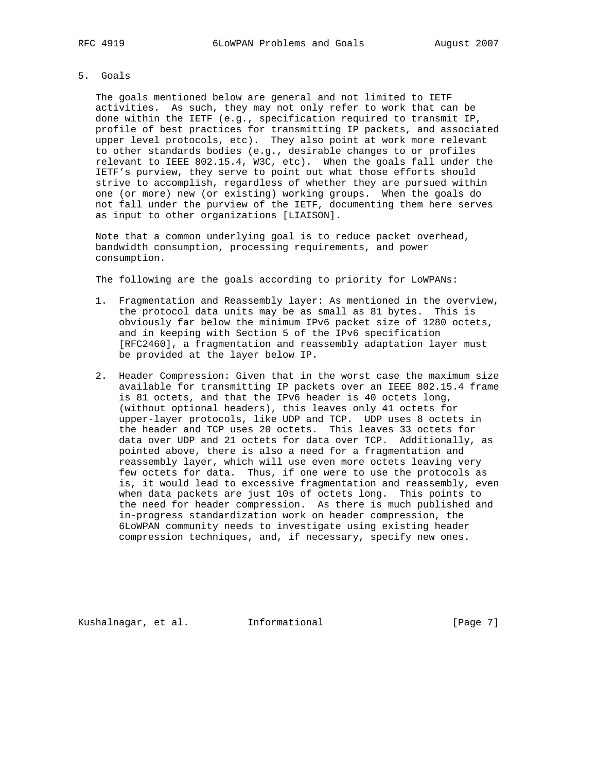## 5. Goals

 The goals mentioned below are general and not limited to IETF activities. As such, they may not only refer to work that can be done within the IETF (e.g., specification required to transmit IP, profile of best practices for transmitting IP packets, and associated upper level protocols, etc). They also point at work more relevant to other standards bodies (e.g., desirable changes to or profiles relevant to IEEE 802.15.4, W3C, etc). When the goals fall under the IETF's purview, they serve to point out what those efforts should strive to accomplish, regardless of whether they are pursued within one (or more) new (or existing) working groups. When the goals do not fall under the purview of the IETF, documenting them here serves as input to other organizations [LIAISON].

 Note that a common underlying goal is to reduce packet overhead, bandwidth consumption, processing requirements, and power consumption.

The following are the goals according to priority for LoWPANs:

- 1. Fragmentation and Reassembly layer: As mentioned in the overview, the protocol data units may be as small as 81 bytes. This is obviously far below the minimum IPv6 packet size of 1280 octets, and in keeping with Section 5 of the IPv6 specification [RFC2460], a fragmentation and reassembly adaptation layer must be provided at the layer below IP.
- 2. Header Compression: Given that in the worst case the maximum size available for transmitting IP packets over an IEEE 802.15.4 frame is 81 octets, and that the IPv6 header is 40 octets long, (without optional headers), this leaves only 41 octets for upper-layer protocols, like UDP and TCP. UDP uses 8 octets in the header and TCP uses 20 octets. This leaves 33 octets for data over UDP and 21 octets for data over TCP. Additionally, as pointed above, there is also a need for a fragmentation and reassembly layer, which will use even more octets leaving very few octets for data. Thus, if one were to use the protocols as is, it would lead to excessive fragmentation and reassembly, even when data packets are just 10s of octets long. This points to the need for header compression. As there is much published and in-progress standardization work on header compression, the 6LoWPAN community needs to investigate using existing header compression techniques, and, if necessary, specify new ones.

Kushalnagar, et al. Informational [Page 7]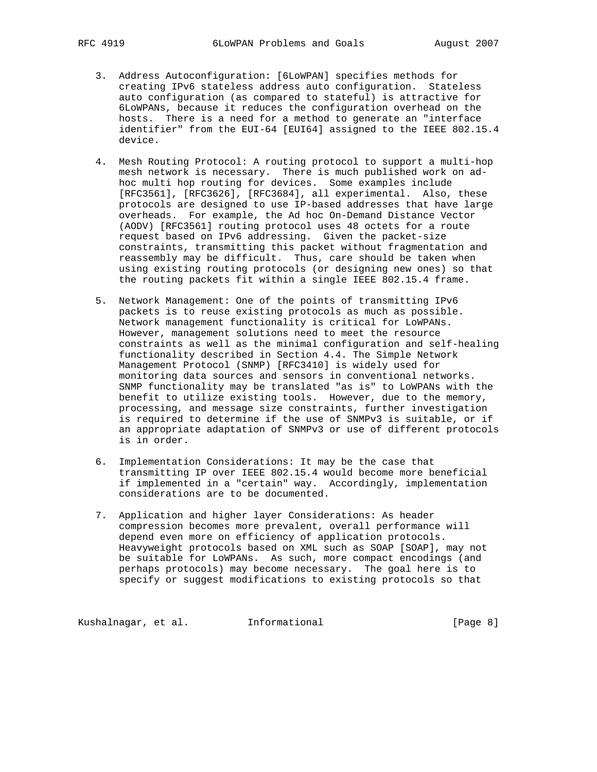- 3. Address Autoconfiguration: [6LoWPAN] specifies methods for creating IPv6 stateless address auto configuration. Stateless auto configuration (as compared to stateful) is attractive for 6LoWPANs, because it reduces the configuration overhead on the hosts. There is a need for a method to generate an "interface identifier" from the EUI-64 [EUI64] assigned to the IEEE 802.15.4 device.
- 4. Mesh Routing Protocol: A routing protocol to support a multi-hop mesh network is necessary. There is much published work on ad hoc multi hop routing for devices. Some examples include [RFC3561], [RFC3626], [RFC3684], all experimental. Also, these protocols are designed to use IP-based addresses that have large overheads. For example, the Ad hoc On-Demand Distance Vector (AODV) [RFC3561] routing protocol uses 48 octets for a route request based on IPv6 addressing. Given the packet-size constraints, transmitting this packet without fragmentation and reassembly may be difficult. Thus, care should be taken when using existing routing protocols (or designing new ones) so that the routing packets fit within a single IEEE 802.15.4 frame.
- 5. Network Management: One of the points of transmitting IPv6 packets is to reuse existing protocols as much as possible. Network management functionality is critical for LoWPANs. However, management solutions need to meet the resource constraints as well as the minimal configuration and self-healing functionality described in Section 4.4. The Simple Network Management Protocol (SNMP) [RFC3410] is widely used for monitoring data sources and sensors in conventional networks. SNMP functionality may be translated "as is" to LoWPANs with the benefit to utilize existing tools. However, due to the memory, processing, and message size constraints, further investigation is required to determine if the use of SNMPv3 is suitable, or if an appropriate adaptation of SNMPv3 or use of different protocols is in order.
- 6. Implementation Considerations: It may be the case that transmitting IP over IEEE 802.15.4 would become more beneficial if implemented in a "certain" way. Accordingly, implementation considerations are to be documented.
- 7. Application and higher layer Considerations: As header compression becomes more prevalent, overall performance will depend even more on efficiency of application protocols. Heavyweight protocols based on XML such as SOAP [SOAP], may not be suitable for LoWPANs. As such, more compact encodings (and perhaps protocols) may become necessary. The goal here is to specify or suggest modifications to existing protocols so that

Kushalnagar, et al. 1nformational 1999 [Page 8]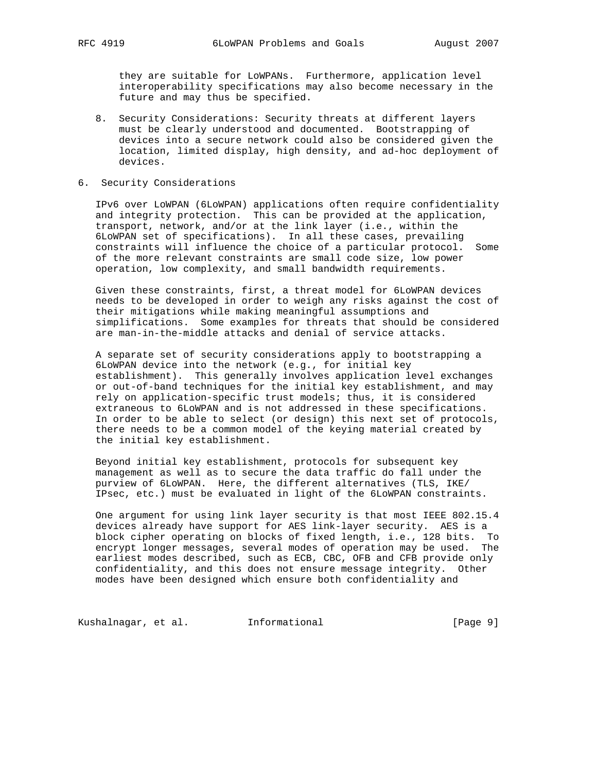they are suitable for LoWPANs. Furthermore, application level interoperability specifications may also become necessary in the future and may thus be specified.

- 8. Security Considerations: Security threats at different layers must be clearly understood and documented. Bootstrapping of devices into a secure network could also be considered given the location, limited display, high density, and ad-hoc deployment of devices.
- 6. Security Considerations

 IPv6 over LoWPAN (6LoWPAN) applications often require confidentiality and integrity protection. This can be provided at the application, transport, network, and/or at the link layer (i.e., within the 6LoWPAN set of specifications). In all these cases, prevailing constraints will influence the choice of a particular protocol. Some of the more relevant constraints are small code size, low power operation, low complexity, and small bandwidth requirements.

 Given these constraints, first, a threat model for 6LoWPAN devices needs to be developed in order to weigh any risks against the cost of their mitigations while making meaningful assumptions and simplifications. Some examples for threats that should be considered are man-in-the-middle attacks and denial of service attacks.

 A separate set of security considerations apply to bootstrapping a 6LoWPAN device into the network (e.g., for initial key establishment). This generally involves application level exchanges or out-of-band techniques for the initial key establishment, and may rely on application-specific trust models; thus, it is considered extraneous to 6LoWPAN and is not addressed in these specifications. In order to be able to select (or design) this next set of protocols, there needs to be a common model of the keying material created by the initial key establishment.

 Beyond initial key establishment, protocols for subsequent key management as well as to secure the data traffic do fall under the purview of 6LoWPAN. Here, the different alternatives (TLS, IKE/ IPsec, etc.) must be evaluated in light of the 6LoWPAN constraints.

 One argument for using link layer security is that most IEEE 802.15.4 devices already have support for AES link-layer security. AES is a block cipher operating on blocks of fixed length, i.e., 128 bits. To encrypt longer messages, several modes of operation may be used. The earliest modes described, such as ECB, CBC, OFB and CFB provide only confidentiality, and this does not ensure message integrity. Other modes have been designed which ensure both confidentiality and

Kushalnagar, et al. 1nformational 1999 [Page 9]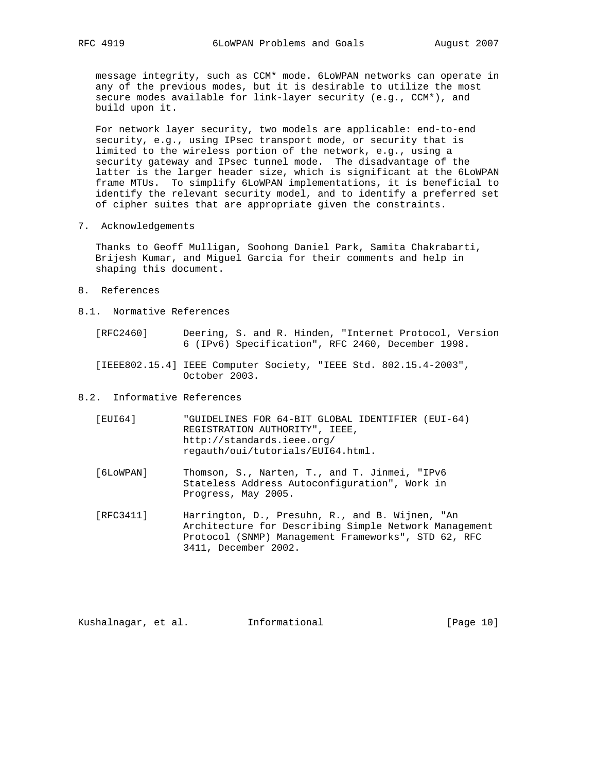message integrity, such as CCM\* mode. 6LoWPAN networks can operate in any of the previous modes, but it is desirable to utilize the most secure modes available for link-layer security (e.g., CCM\*), and build upon it.

 For network layer security, two models are applicable: end-to-end security, e.g., using IPsec transport mode, or security that is limited to the wireless portion of the network, e.g., using a security gateway and IPsec tunnel mode. The disadvantage of the latter is the larger header size, which is significant at the 6LoWPAN frame MTUs. To simplify 6LoWPAN implementations, it is beneficial to identify the relevant security model, and to identify a preferred set of cipher suites that are appropriate given the constraints.

7. Acknowledgements

 Thanks to Geoff Mulligan, Soohong Daniel Park, Samita Chakrabarti, Brijesh Kumar, and Miguel Garcia for their comments and help in shaping this document.

- 8. References
- 8.1. Normative References
	- [RFC2460] Deering, S. and R. Hinden, "Internet Protocol, Version 6 (IPv6) Specification", RFC 2460, December 1998.
	- [IEEE802.15.4] IEEE Computer Society, "IEEE Std. 802.15.4-2003", October 2003.
- 8.2. Informative References
	- [EUI64] "GUIDELINES FOR 64-BIT GLOBAL IDENTIFIER (EUI-64) REGISTRATION AUTHORITY", IEEE, http://standards.ieee.org/ regauth/oui/tutorials/EUI64.html.
	- [6LoWPAN] Thomson, S., Narten, T., and T. Jinmei, "IPv6 Stateless Address Autoconfiguration", Work in Progress, May 2005.
	- [RFC3411] Harrington, D., Presuhn, R., and B. Wijnen, "An Architecture for Describing Simple Network Management Protocol (SNMP) Management Frameworks", STD 62, RFC 3411, December 2002.

Kushalnagar, et al. Informational [Page 10]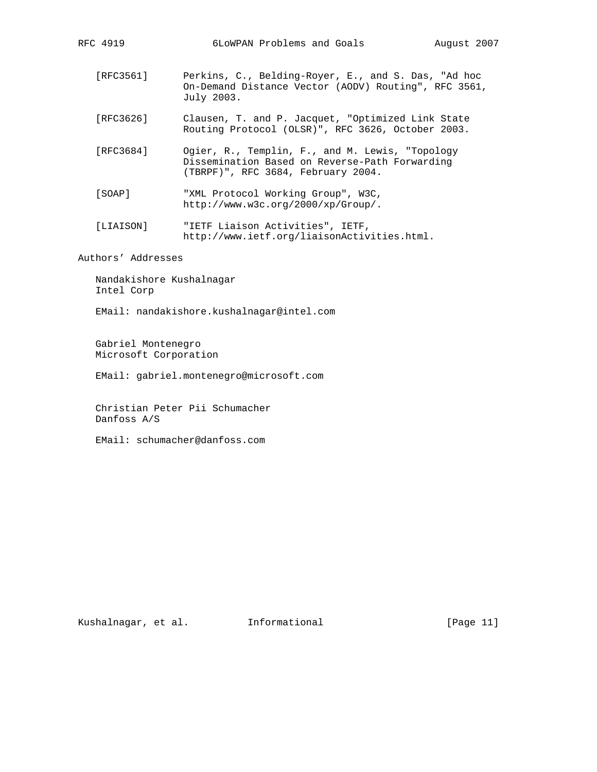- [RFC3561] Perkins, C., Belding-Royer, E., and S. Das, "Ad hoc On-Demand Distance Vector (AODV) Routing", RFC 3561, July 2003.
- [RFC3626] Clausen, T. and P. Jacquet, "Optimized Link State Routing Protocol (OLSR)", RFC 3626, October 2003.
- [RFC3684] Ogier, R., Templin, F., and M. Lewis, "Topology Dissemination Based on Reverse-Path Forwarding (TBRPF)", RFC 3684, February 2004.
- [SOAP] "XML Protocol Working Group", W3C, http://www.w3c.org/2000/xp/Group/.
- [LIAISON] "IETF Liaison Activities", IETF, http://www.ietf.org/liaisonActivities.html.

Authors' Addresses

 Nandakishore Kushalnagar Intel Corp

EMail: nandakishore.kushalnagar@intel.com

 Gabriel Montenegro Microsoft Corporation

EMail: gabriel.montenegro@microsoft.com

 Christian Peter Pii Schumacher Danfoss A/S

EMail: schumacher@danfoss.com

Kushalnagar, et al. Informational [Page 11]